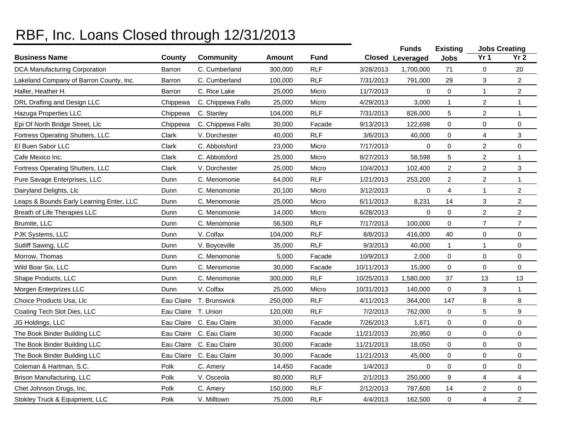## RBF, Inc. Loans Closed through 12/31/2013

|                                          |            |                          |         |             |            | <b>Funds</b>            | <b>Existing</b>         |                         | <b>Jobs Creating</b> |
|------------------------------------------|------------|--------------------------|---------|-------------|------------|-------------------------|-------------------------|-------------------------|----------------------|
| <b>Business Name</b>                     | County     | <b>Community</b>         | Amount  | <b>Fund</b> |            | <b>Closed Leveraged</b> | <b>Jobs</b>             | Yr <sub>1</sub>         | Yr <sub>2</sub>      |
| <b>DCA Manufacturing Corporation</b>     | Barron     | C. Cumberland            | 300,000 | <b>RLF</b>  | 3/28/2013  | 1,700,000               | 71                      | 0                       | 20                   |
| Lakeland Company of Barron County, Inc.  | Barron     | C. Cumberland            | 100,000 | <b>RLF</b>  | 7/31/2013  | 791,000                 | 29                      | 3                       | $\overline{a}$       |
| Haller, Heather H.                       | Barron     | C. Rice Lake             | 25,000  | Micro       | 11/7/2013  | $\mathbf 0$             | 0                       | $\mathbf{1}$            | $\overline{a}$       |
| DRL Drafting and Design LLC              | Chippewa   | C. Chippewa Falls        | 25,000  | Micro       | 4/29/2013  | 3,000                   | $\mathbf{1}$            | $\overline{c}$          | $\mathbf{1}$         |
| Hazuga Properties LLC                    | Chippewa   | C. Stanley               | 104,000 | <b>RLF</b>  | 7/31/2013  | 826,000                 | 5                       | $\overline{2}$          | $\mathbf{1}$         |
| Epi Of North Bridge Street, Llc          | Chippewa   | C. Chippewa Falls        | 30,000  | Facade      | 9/13/2013  | 122,698                 | 0                       | 0                       | 0                    |
| Fortress Operating Shutters, LLC         | Clark      | V. Dorchester            | 40,000  | <b>RLF</b>  | 3/6/2013   | 40,000                  | 0                       | 4                       | 3                    |
| El Buen Sabor LLC                        | Clark      | C. Abbotsford            | 23,000  | Micro       | 7/17/2013  | $\Omega$                | $\mathbf 0$             | $\overline{c}$          | 0                    |
| Cafe Mexico Inc.                         | Clark      | C. Abbotsford            | 25,000  | Micro       | 8/27/2013  | 58,598                  | $\mathbf 5$             | $\overline{\mathbf{c}}$ | $\mathbf{1}$         |
| Fortress Operating Shutters, LLC         | Clark      | V. Dorchester            | 25,000  | Micro       | 10/4/2013  | 102,400                 | $\overline{2}$          | $\overline{c}$          | 3                    |
| Pure Savage Enterprises, LLC             | Dunn       | C. Menomonie             | 64,000  | <b>RLF</b>  | 1/21/2013  | 253,200                 | $\overline{c}$          | $\overline{\mathbf{c}}$ | $\mathbf{1}$         |
| Dairyland Delights, Llc                  | Dunn       | C. Menomonie             | 20,100  | Micro       | 3/12/2013  | 0                       | $\overline{\mathbf{4}}$ | $\mathbf{1}$            | $\overline{a}$       |
| Leaps & Bounds Early Learning Enter, LLC | Dunn       | C. Menomonie             | 25,000  | Micro       | 6/11/2013  | 8,231                   | 14                      | 3                       | $\overline{a}$       |
| Breath of Life Therapies LLC             | Dunn       | C. Menomonie             | 14,000  | Micro       | 6/28/2013  | 0                       | 0                       | $\overline{c}$          | $\overline{a}$       |
| Brumite, LLC                             | Dunn       | C. Menomonie             | 56,500  | <b>RLF</b>  | 7/17/2013  | 100,000                 | $\mathbf 0$             | 7                       | $\overline{7}$       |
| PJK Systems, LLC                         | Dunn       | V. Colfax                | 104,000 | <b>RLF</b>  | 8/8/2013   | 416,000                 | 40                      | 0                       | 0                    |
| Sutliff Sawing, LLC                      | Dunn       | V. Boyceville            | 35,000  | <b>RLF</b>  | 9/3/2013   | 40,000                  | $\mathbf{1}$            | $\mathbf{1}$            | 0                    |
| Morrow, Thomas                           | Dunn       | C. Menomonie             | 5,000   | Facade      | 10/9/2013  | 2,000                   | 0                       | 0                       | 0                    |
| Wild Boar Six, LLC                       | Dunn       | C. Menomonie             | 30,000  | Facade      | 10/11/2013 | 15,000                  | $\pmb{0}$               | 0                       | 0                    |
| Shape Products, LLC                      | Dunn       | C. Menomonie             | 300,000 | <b>RLF</b>  | 10/25/2013 | 1,580,000               | 37                      | 13                      | 13                   |
| Morgen Enterprizes LLC                   | Dunn       | V. Colfax                | 25,000  | Micro       | 10/31/2013 | 140,000                 | 0                       | 3                       | $\mathbf{1}$         |
| Choice Products Usa, Llc                 | Eau Claire | T. Brunswick             | 250,000 | <b>RLF</b>  | 4/11/2013  | 364,000                 | 147                     | 8                       | 8                    |
| Coating Tech Slot Dies, LLC              | Eau Claire | T. Union                 | 120,000 | <b>RLF</b>  | 7/2/2013   | 762,000                 | 0                       | 5                       | 9                    |
| JG Holdings, LLC                         | Eau Claire | C. Eau Claire            | 30,000  | Facade      | 7/26/2013  | 1,671                   | $\mathbf 0$             | 0                       | 0                    |
| The Book Binder Building LLC             |            | Eau Claire C. Eau Claire | 30,000  | Facade      | 11/21/2013 | 20,950                  | $\pmb{0}$               | 0                       | 0                    |
| The Book Binder Building LLC             | Eau Claire | C. Eau Claire            | 30,000  | Facade      | 11/21/2013 | 18,050                  | 0                       | 0                       | 0                    |
| The Book Binder Building LLC             | Eau Claire | C. Eau Claire            | 30,000  | Facade      | 11/21/2013 | 45,000                  | 0                       | 0                       | $\mathsf{O}$         |
| Coleman & Hartman, S.C.                  | Polk       | C. Amery                 | 14,450  | Facade      | 1/4/2013   | 0                       | 0                       | 0                       | 0                    |
| Brison Manufacturing, LLC                | Polk       | V. Osceola               | 80,000  | <b>RLF</b>  | 2/1/2013   | 250,000                 | 9                       | 4                       | 4                    |
| Chet Johnson Drugs, Inc.                 | Polk       | C. Amery                 | 150,000 | <b>RLF</b>  | 2/12/2013  | 787,600                 | 14                      | $\overline{c}$          | 0                    |
| Stokley Truck & Equipment, LLC           | Polk       | V. Milltown              | 75,000  | <b>RLF</b>  | 4/4/2013   | 162,500                 | 0                       | 4                       | $\overline{a}$       |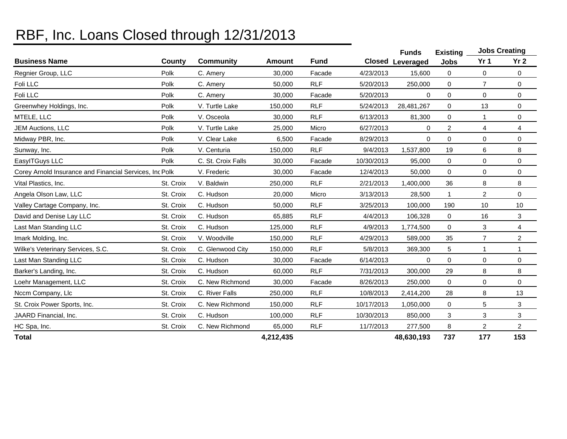## RBF, Inc. Loans Closed through 12/31/2013

|                                                         |           |                    |               |             |            | <b>Funds</b>            | <b>Existing</b> | <b>Jobs Creating</b> |                 |
|---------------------------------------------------------|-----------|--------------------|---------------|-------------|------------|-------------------------|-----------------|----------------------|-----------------|
| <b>Business Name</b>                                    | County    | <b>Community</b>   | <b>Amount</b> | <b>Fund</b> |            | <b>Closed Leveraged</b> | <b>Jobs</b>     | Yr 1                 | Yr <sub>2</sub> |
| Regnier Group, LLC                                      | Polk      | C. Amery           | 30,000        | Facade      | 4/23/2013  | 15,600                  | 0               | 0                    | 0               |
| Foli LLC                                                | Polk      | C. Amery           | 50,000        | <b>RLF</b>  | 5/20/2013  | 250,000                 | 0               | $\overline{7}$       | 0               |
| Foli LLC                                                | Polk      | C. Amery           | 30,000        | Facade      | 5/20/2013  | 0                       | 0               | 0                    | 0               |
| Greenwhey Holdings, Inc.                                | Polk      | V. Turtle Lake     | 150,000       | <b>RLF</b>  | 5/24/2013  | 28,481,267              | 0               | 13                   | 0               |
| MTELE, LLC                                              | Polk      | V. Osceola         | 30,000        | <b>RLF</b>  | 6/13/2013  | 81,300                  | 0               |                      | 0               |
| <b>JEM Auctions, LLC</b>                                | Polk      | V. Turtle Lake     | 25,000        | Micro       | 6/27/2013  | 0                       | $\overline{c}$  | 4                    | 4               |
| Midway PBR, Inc.                                        | Polk      | V. Clear Lake      | 6,500         | Facade      | 8/29/2013  | 0                       | 0               | 0                    | 0               |
| Sunway, Inc.                                            | Polk      | V. Centuria        | 150,000       | <b>RLF</b>  | 9/4/2013   | 1,537,800               | 19              | 6                    | 8               |
| EasylTGuys LLC                                          | Polk      | C. St. Croix Falls | 30,000        | Facade      | 10/30/2013 | 95,000                  | 0               | 0                    | 0               |
| Corey Arnold Insurance and Financial Services, Inc Polk |           | V. Frederic        | 30,000        | Facade      | 12/4/2013  | 50,000                  | 0               | 0                    | 0               |
| Vital Plastics, Inc.                                    | St. Croix | V. Baldwin         | 250,000       | <b>RLF</b>  | 2/21/2013  | 1,400,000               | 36              | 8                    | 8               |
| Angela Olson Law, LLC                                   | St. Croix | C. Hudson          | 20,000        | Micro       | 3/13/2013  | 28,500                  | 1               | 2                    | 0               |
| Valley Cartage Company, Inc.                            | St. Croix | C. Hudson          | 50,000        | <b>RLF</b>  | 3/25/2013  | 100,000                 | 190             | 10                   | 10              |
| David and Denise Lay LLC                                | St. Croix | C. Hudson          | 65,885        | <b>RLF</b>  | 4/4/2013   | 106,328                 | $\mathbf 0$     | 16                   | 3               |
| Last Man Standing LLC                                   | St. Croix | C. Hudson          | 125,000       | <b>RLF</b>  | 4/9/2013   | 1,774,500               | $\mathbf 0$     | 3                    | 4               |
| Imark Molding, Inc.                                     | St. Croix | V. Woodville       | 150,000       | <b>RLF</b>  | 4/29/2013  | 589,000                 | 35              | $\overline{7}$       | $\overline{c}$  |
| Wilke's Veterinary Services, S.C.                       | St. Croix | C. Glenwood City   | 150,000       | <b>RLF</b>  | 5/8/2013   | 369,300                 | 5               | 1                    | 1               |
| Last Man Standing LLC                                   | St. Croix | C. Hudson          | 30,000        | Facade      | 6/14/2013  | 0                       | 0               | 0                    | 0               |
| Barker's Landing, Inc.                                  | St. Croix | C. Hudson          | 60,000        | <b>RLF</b>  | 7/31/2013  | 300,000                 | 29              | 8                    | 8               |
| Loehr Management, LLC                                   | St. Croix | C. New Richmond    | 30,000        | Facade      | 8/26/2013  | 250,000                 | 0               | 0                    | 0               |
| Nccm Company, Llc                                       | St. Croix | C. River Falls     | 250,000       | <b>RLF</b>  | 10/8/2013  | 2,414,200               | 28              | 8                    | 13              |
| St. Croix Power Sports, Inc.                            | St. Croix | C. New Richmond    | 150,000       | <b>RLF</b>  | 10/17/2013 | 1,050,000               | 0               | 5                    | 3               |
| JAARD Financial, Inc.                                   | St. Croix | C. Hudson          | 100,000       | <b>RLF</b>  | 10/30/2013 | 850,000                 | 3               | 3                    | 3               |
| HC Spa, Inc.                                            | St. Croix | C. New Richmond    | 65,000        | <b>RLF</b>  | 11/7/2013  | 277,500                 | 8               | $\overline{a}$       | $\overline{a}$  |
| <b>Total</b>                                            |           |                    | 4,212,435     |             |            | 48,630,193              | 737             | 177                  | 153             |